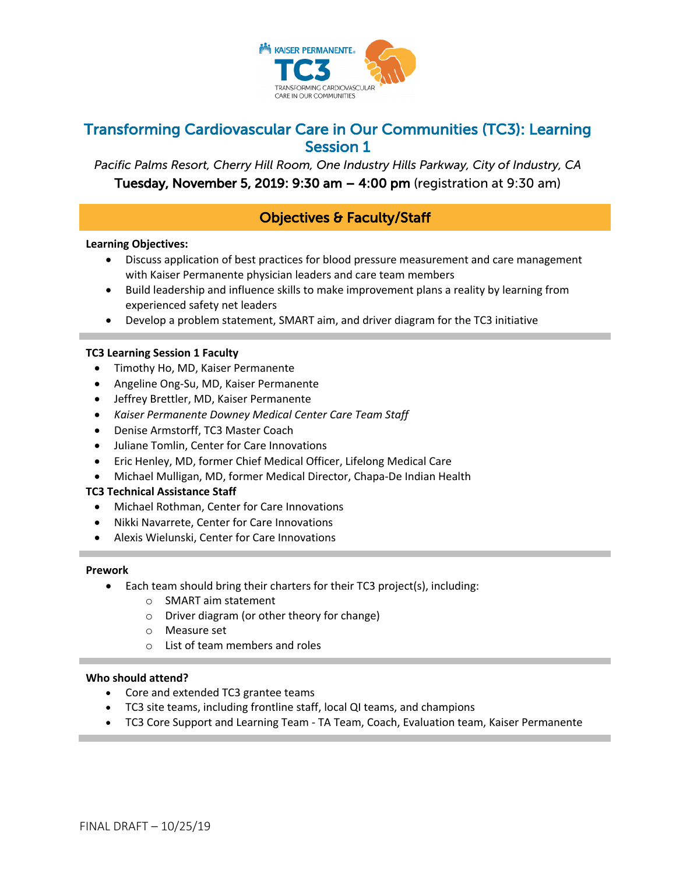

# Transforming Cardiovascular Care in Our Communities (TC3): Learning Session 1

*Pacific Palms Resort, Cherry Hill Room, One Industry Hills Parkway, City of Industry, CA*  Tuesday, November 5, 2019: 9:30 am  $-$  4:00 pm (registration at 9:30 am)

## Objectives & Faculty/Staff

### **Learning Objectives:**

- Discuss application of best practices for blood pressure measurement and care management with Kaiser Permanente physician leaders and care team members
- Build leadership and influence skills to make improvement plans a reality by learning from experienced safety net leaders
- Develop a problem statement, SMART aim, and driver diagram for the TC3 initiative

## **TC3 Learning Session 1 Faculty**

- Timothy Ho, MD, Kaiser Permanente
- Angeline Ong-Su, MD, Kaiser Permanente
- Jeffrey Brettler, MD, Kaiser Permanente
- *Kaiser Permanente Downey Medical Center Care Team Staff*
- Denise Armstorff, TC3 Master Coach
- Juliane Tomlin, Center for Care Innovations
- Eric Henley, MD, former Chief Medical Officer, Lifelong Medical Care
- Michael Mulligan, MD, former Medical Director, Chapa-De Indian Health

## **TC3 Technical Assistance Staff**

- Michael Rothman, Center for Care Innovations
- Nikki Navarrete, Center for Care Innovations
- Alexis Wielunski, Center for Care Innovations

### **Prework**

- Each team should bring their charters for their TC3 project(s), including:
	- o SMART aim statement
	- o Driver diagram (or other theory for change)
	- o Measure set
	- o List of team members and roles

### **Who should attend?**

- Core and extended TC3 grantee teams
- TC3 site teams, including frontline staff, local QI teams, and champions
- TC3 Core Support and Learning Team TA Team, Coach, Evaluation team, Kaiser Permanente